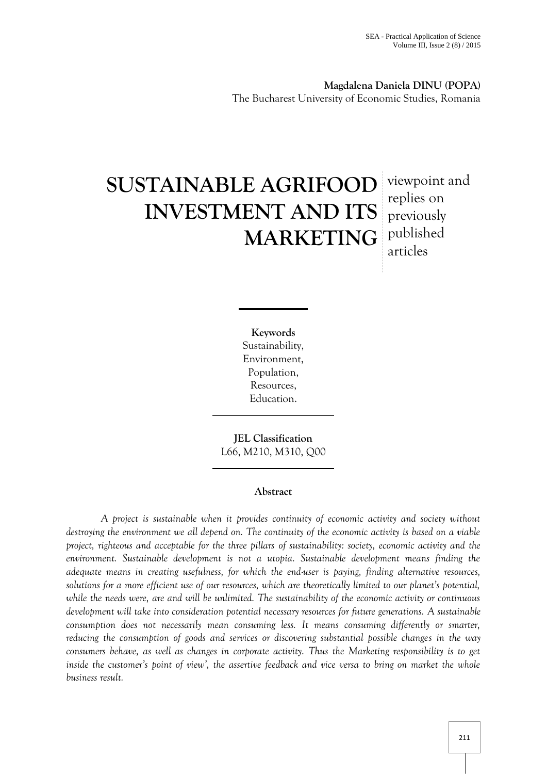**Magdalena Daniela DINU (POPA)** The Bucharest University of Economic Studies, Romania

# **SUSTAINABLE AGRIFOOD** viewpoint and **INVESTMENT AND ITS MARKETING**

replies on previously published articles

**Keywords** Sustainability, Environment, Population, Resources, Education.

**JEL Classification** L66, M210, M310, Q00

## **Abstract**

*A project is sustainable when it provides continuity of economic activity and society without destroying the environment we all depend on. The continuity of the economic activity is based on a viable project, righteous and acceptable for the three pillars of sustainability: society, economic activity and the environment. Sustainable development is not a utopia. Sustainable development means finding the adequate means in creating usefulness, for which the end-user is paying, finding alternative resources, solutions for a more efficient use of our resources, which are theoretically limited to our planet's potential, while the needs were, are and will be unlimited. The sustainability of the economic activity or continuous development will take into consideration potential necessary resources for future generations. A sustainable consumption does not necessarily mean consuming less. It means consuming differently or smarter, reducing the consumption of goods and services or discovering substantial possible changes in the way consumers behave, as well as changes in corporate activity. Thus the Marketing responsibility is to get* inside the customer's point of view', the assertive feedback and vice versa to bring on market the whole *business result.*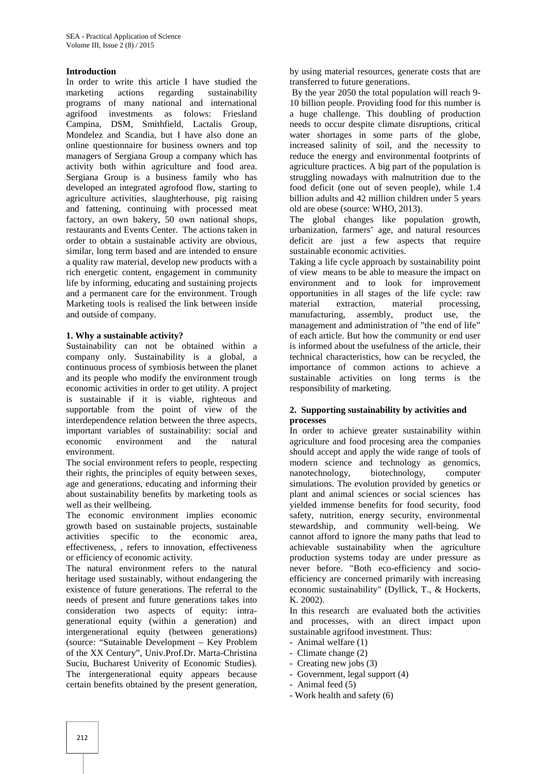## **Introduction**

In order to write this article I have studied the marketing actions regarding sustainability programs of many national and international agrifood investments as folows: Friesland Campina, DSM, Smithfield, Lactalis Group, Mondelez and Scandia, but I have also done an online questionnaire for business owners and top managers of Sergiana Group a company which has activity both within agriculture and food area. Sergiana Group is a business family who has developed an integrated agrofood flow, starting to agriculture activities, slaughterhouse, pig raising and fattening, continuing with processed meat factory, an own bakery, 50 own national shops, restaurants and Events Center. The actions taken in order to obtain a sustainable activity are obvious, similar, long term based and are intended to ensure a quality raw material, develop new products with a rich energetic content, engagement in community life by informing, educating and sustaining projects and a permanent care for the environment. Trough Marketing tools is realised the link between inside and outside of company.

## **1. Why a sustainable activity?**

Sustainability can not be obtained within a company only. Sustainability is a global, a continuous process of symbiosis between the planet and its people who modify the environment trough economic activities in order to get utility. A project is sustainable if it is viable, righteous and supportable from the point of view of the interdependence relation between the three aspects, important variables of sustainability: social and economic environment and the natural environment.

The social environment refers to people, respecting their rights, the principles of equity between sexes, age and generations, educating and informing their about sustainability benefits by marketing tools as well as their wellbeing.

The economic environment implies economic growth based on sustainable projects, sustainable activities specific to the economic area, effectiveness, , refers to innovation, effectiveness or efficiency of economic activity.

The natural environment refers to the natural heritage used sustainably, without endangering the existence of future generations. The referral to the needs of present and future generations takes into consideration two aspects of equity: intra generational equity (within a generation) and intergenerational equity (between generations) (source: "Sutainable Development – Key Problem of the XX Century", Univ.Prof.Dr. Marta-Christina Suciu, Bucharest Univerity of Economic Studies). The intergenerational equity appears because certain benefits obtained by the present generation,

by using material resources, generate costs that are transferred to future generations.

By the year 2050 the total population will reach 9- 10 billion people. Providing food for this number is a huge challenge. This doubling of production needs to occur despite climate disruptions, critical water shortages in some parts of the globe, increased salinity of soil, and the necessity to reduce the energy and environmental footprints of agriculture practices. A big part of the population is struggling nowadays with malnutrition due to the food deficit (one out of seven people), while 1.4 billion adults and 42 million children under 5 years old are obese (source: WHO, 2013).

The global changes like population growth, urbanization, farmers' age, and natural resources deficit are just a few aspects that require sustainable economic activities.

Taking a life cycle approach by sustainability point of view means to be able to measure the impact on environment and to look for improvement opportunities in all stages of the life cycle: raw material extraction, material processing, manufacturing, assembly, product use, the management and administration of "the end of life" of each article. But how the community or end user is informed about the usefulness of the article, their technical characteristics, how can be recycled, the importance of common actions to achieve a sustainable activities on long terms is the responsibility of marketing.

## **2. Supporting sustainability by activities and processes**

In order to achieve greater sustainability within agriculture and food procesing area the companies should accept and apply the wide range of tools of modern science and technology as genomics, nanotechnology, biotechnology, computer simulations. The evolution provided by genetics or plant and animal sciences or social sciences has yielded immense benefits for food security, food safety, nutrition, energy security, environmental stewardship, and community well-being. We cannot afford to ignore the many paths that lead to achievable sustainability when the agriculture production systems today are under pressure as never before. "Both eco-efficiency and socio efficiency are concerned primarily with increasing economic sustainability" (Dyllick, T., & Hockerts, K. 2002).

In this research are evaluated both the activities and processes, with an direct impact upon sustainable agrifood investment. Thus:

- Animal welfare (1)
- Climate change (2)
- Creating new jobs (3)
- Government, legal support (4)
- Animal feed (5)
- Work health and safety (6)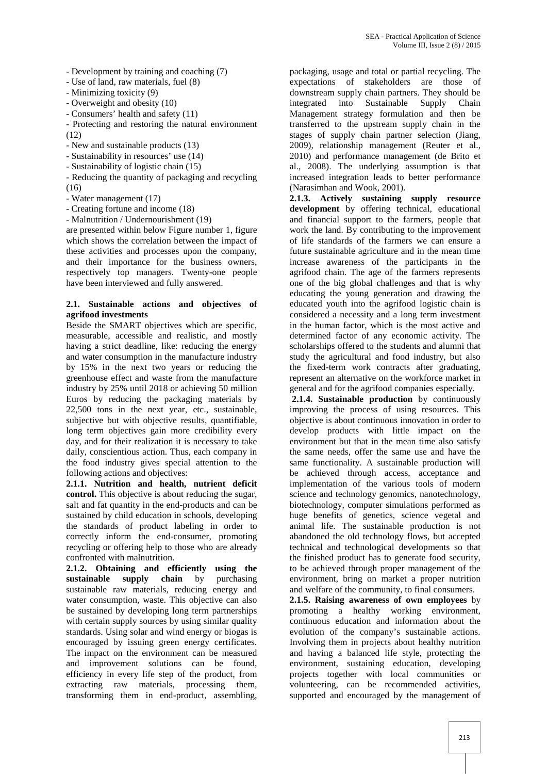- Development by training and coaching (7)
- Use of land, raw materials, fuel (8)
- Minimizing toxicity (9)
- Overweight and obesity (10)
- Consumers' health and safety (11)

- Protecting and restoring the natural environment (12)

- New and sustainable products (13)
- Sustainability in resources' use (14)
- Sustainability of logistic chain (15)
- Reducing the quantity of packaging and recycling (16)
- Water management (17)
- Creating fortune and income (18)
- Malnutrition / Undernourishment (19)

are presented within below Figure number 1, figure which shows the correlation between the impact of these activities and processes upon the company, and their importance for the business owners, respectively top managers. Twenty-one people have been interviewed and fully answered.

#### **2.1. Sustainable actions and objectives of agrifood investments**

Beside the SMART objectives which are specific, measurable, accessible and realistic, and mostly having a strict deadline, like: reducing the energy and water consumption in the manufacture industry by 15% in the next two years or reducing the greenhouse effect and waste from the manufacture industry by 25% until 2018 or achieving 50 million Euros by reducing the packaging materials by 22,500 tons in the next year, etc., sustainable, subjective but with objective results, quantifiable, long term objectives gain more credibility every day, and for their realization it is necessary to take daily, conscientious action. Thus, each company in the food industry gives special attention to the following actions and objectives:

**2.1.1. Nutrition and health, nutrient deficit control.** This objective is about reducing the sugar, salt and fat quantity in the end-products and can be sustained by child education in schools, developing the standards of product labeling in order to correctly inform the end-consumer, promoting recycling or offering help to those who are already confronted with malnutrition.

**2.1.2. Obtaining and efficiently using the sustainable supply chain** by purchasing sustainable raw materials, reducing energy and water consumption, waste. This objective can also be sustained by developing long term partnerships with certain supply sources by using similar quality standards. Using solar and wind energy or biogas is encouraged by issuing green energy certificates. The impact on the environment can be measured and improvement solutions can be found, efficiency in every life step of the product, from extracting raw materials, processing them, transforming them in end-product, assembling,

packaging, usage and total or partial recycling. The expectations of stakeholders are those of downstream supply chain partners. They should be integrated into Sustainable Supply Chain Management strategy formulation and then be transferred to the upstream supply chain in the stages of supply chain partner selection (Jiang, 2009), relationship management (Reuter et al., 2010) and performance management (de Brito et al., 2008). The underlying assumption is that increased integration leads to better performance (Narasimhan and Wook, 2001).

**2.1.3. Actively sustaining supply resource development** by offering technical, educational and financial support to the farmers, people that work the land. By contributing to the improvement of life standards of the farmers we can ensure a future sustainable agriculture and in the mean time increase awareness of the participants in the agrifood chain. The age of the farmers represents one of the big global challenges and that is why educating the young generation and drawing the educated youth into the agrifood logistic chain is considered a necessity and a long term investment in the human factor, which is the most active and determined factor of any economic activity. The scholarships offered to the students and alumni that study the agricultural and food industry, but also the fixed-term work contracts after graduating, represent an alternative on the workforce market in general and for the agrifood companies especially.

**2.1.4. Sustainable production** by continuously improving the process of using resources. This objective is about continuous innovation in order to develop products with little impact on the environment but that in the mean time also satisfy the same needs, offer the same use and have the same functionality. A sustainable production will be achieved through access, acceptance and implementation of the various tools of modern science and technology genomics, nanotechnology, biotechnology, computer simulations performed as huge benefits of genetics, science vegetal and animal life. The sustainable production is not abandoned the old technology flows, but accepted technical and technological developments so that the finished product has to generate food security, to be achieved through proper management of the environment, bring on market a proper nutrition and welfare of the community, to final consumers.

**2.1.5. Raising awareness of own employees** by promoting a healthy working environment, continuous education and information about the evolution of the company's sustainable actions. Involving them in projects about healthy nutrition and having a balanced life style, protecting the environment, sustaining education, developing projects together with local communities or volunteering, can be recommended activities, supported and encouraged by the management of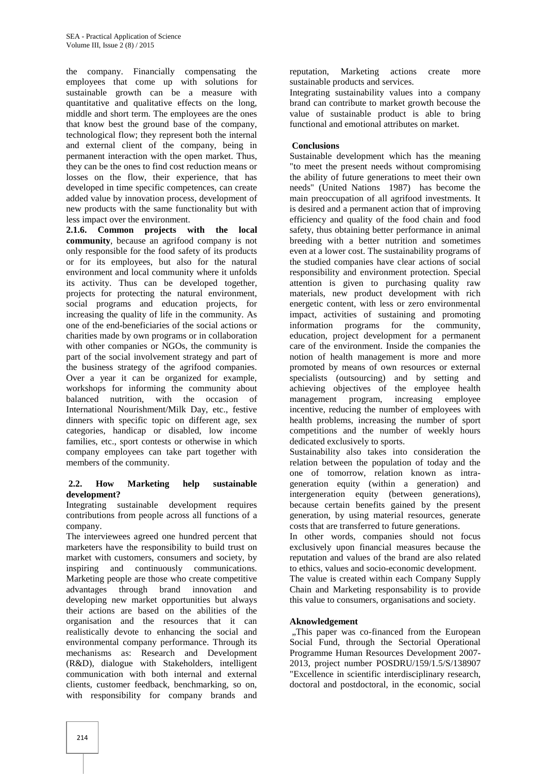the company. Financially compensating the employees that come up with solutions for sustainable growth can be a measure with quantitative and qualitative effects on the long, middle and short term. The employees are the ones that know best the ground base of the company, technological flow; they represent both the internal and external client of the company, being in permanent interaction with the open market. Thus, they can be the ones to find cost reduction means or losses on the flow, their experience, that has developed in time specific competences, can create added value by innovation process, development of new products with the same functionality but with less impact over the environment.

**2.1.6. Common projects with the local community**, because an agrifood company is not only responsible for the food safety of its products or for its employees, but also for the natural environment and local community where it unfolds its activity. Thus can be developed together, projects for protecting the natural environment, social programs and education projects, for increasing the quality of life in the community. As one of the end-beneficiaries of the social actions or charities made by own programs or in collaboration with other companies or NGOs, the community is part of the social involvement strategy and part of the business strategy of the agrifood companies. Over a year it can be organized for example, workshops for informing the community about balanced nutrition, with the occasion of International Nourishment/Milk Day, etc., festive dinners with specific topic on different age, sex categories, handicap or disabled, low income families, etc., sport contests or otherwise in which company employees can take part together with members of the community.

## **2.2. How Marketing help sustainable development?**

Integrating sustainable development requires contributions from people across all functions of a company.

The interviewees agreed one hundred percent that marketers have the responsibility to build trust on market with customers, consumers and society, by inspiring and continuously communications. Marketing people are those who create competitive advantages through brand innovation and developing new market opportunities but always their actions are based on the abilities of the organisation and the resources that it can realistically devote to enhancing the social and environmental company performance. Through its mechanisms as: Research and Development (R&D), dialogue with Stakeholders, intelligent communication with both internal and external clients, customer feedback, benchmarking, so on, with responsibility for company brands and

reputation, Marketing actions create more sustainable products and services.

Integrating sustainability values into a company brand can contribute to market growth becouse the value of sustainable product is able to bring functional and emotional attributes on market.

## **Conclusions**

Sustainable development which has the meaning "to meet the present needs without compromising the ability of future generations to meet their own needs" (United Nations 1987) has become the main preoccupation of all agrifood investments. It is desired and a permanent action that of improving efficiency and quality of the food chain and food safety, thus obtaining better performance in animal breeding with a better nutrition and sometimes even at a lower cost. The sustainability programs of the studied companies have clear actions of social responsibility and environment protection. Special attention is given to purchasing quality raw materials, new product development with rich energetic content, with less or zero environmental impact, activities of sustaining and promoting information programs for the community, education, project development for a permanent care of the environment. Inside the companies the notion of health management is more and more promoted by means of own resources or external specialists (outsourcing) and by setting and achieving objectives of the employee health management program, increasing employee incentive, reducing the number of employees with health problems, increasing the number of sport competitions and the number of weekly hours dedicated exclusively to sports.

Sustainability also takes into consideration the relation between the population of today and the one of tomorrow, relation known as intra generation equity (within a generation) and intergeneration equity (between generations), because certain benefits gained by the present generation, by using material resources, generate costs that are transferred to future generations.

In other words, companies should not focus exclusively upon financial measures because the reputation and values of the brand are also related to ethics, values and socio-economic development. The value is created within each Company Supply

Chain and Marketing responsability is to provide this value to consumers, organisations and society.

## **Aknowledgement**

., This paper was co-financed from the European Social Fund, through the Sectorial Operational Programme Human Resources Development 2007- 2013, project number POSDRU/159/1.5/S/138907 "Excellence in scientific interdisciplinary research, doctoral and postdoctoral, in the economic, social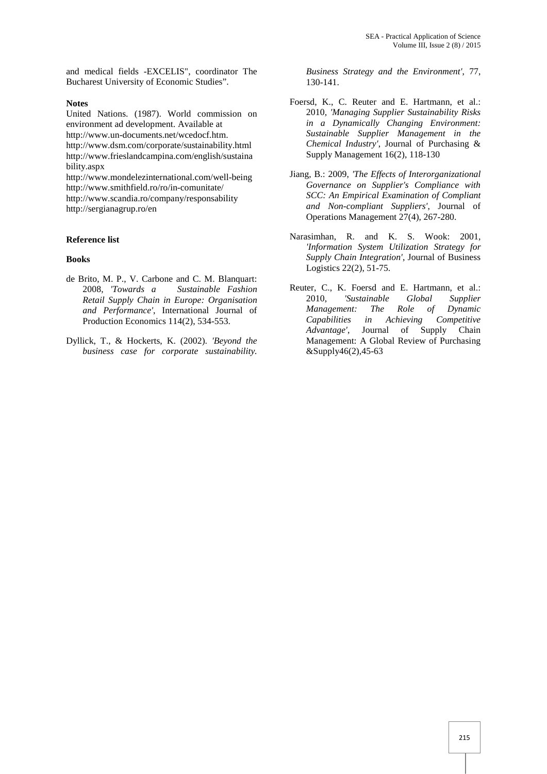and medical fields -EXCELIS", coordinator The Bucharest University of Economic Studies".

#### **Notes**

United Nations. (1987). World commission on environment ad development. Available at http://www.un-documents.net/wcedocf.htm. http://www.dsm.com/corporate/sustainability.html http://www.frieslandcampina.com/english/sustaina bility.aspx http://www.mondelezinternational.com/well-being

http://www.smithfield.ro/ro/in-comunitate/ http://www.scandia.ro/company/responsability http://sergianagrup.ro/en

#### **Reference list**

#### **Books**

- de Brito, M. P., V. Carbone and C. M. Blanquart: 2008, *'Towards a Sustainable Fashion Retail Supply Chain in Europe: Organisation and Performance'*, International Journal of Production Economics 114(2), 534-553.
- Dyllick, T., & Hockerts, K. (2002). *'Beyond the business case for corporate sustainability.*

*Business Strategy and the Environment'*, 77, 130-141.

- Foersd, K., C. Reuter and E. Hartmann, et al.: 2010*, 'Managing Supplier Sustainability Risks in a Dynamically Changing Environment: Sustainable Supplier Management in the Chemical Industry'*, Journal of Purchasing & Supply Management 16(2), 118-130
- Jiang, B.: 2009, *'The Effects of Interorganizational Governance on Supplier's Compliance with SCC: An Empirical Examination of Compliant and Non-compliant Suppliers'*, Journal of Operations Management 27(4), 267-280.
- Narasimhan, R. and K. S. Wook: 2001*, 'Information System Utilization Strategy for Supply Chain Integration'*, Journal of Business Logistics 22(2), 51-75.
- Reuter, C., K. Foersd and E. Hartmann, et al.: 2010, *'Sustainable Global Supplier Management: The Role of Dynamic Capabilities in Achieving Competitive Advantage'*, Journal of Supply Chain Management: A Global Review of Purchasing &Supply46(2),45-63